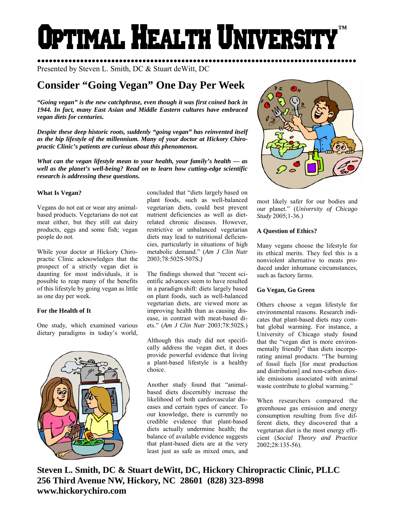# **Optimal Health Universit ™**

●●●●●●●●●●●●●●●●●●●●●●●●●●●●●●●●●●●●●●●●●●●●●●●●●●●●●●●●●●●●●●●●●●●●●●●●●●●●●●●●●● Presented by Steven L. Smith, DC & Stuart deWitt, DC

# **Consider "Going Vegan" One Day Per Week**

*"Going vegan" is the new catchphrase, even though it was first coined back in 1944. In fact, many East Asian and Middle Eastern cultures have embraced vegan diets for centuries.* 

*Despite these deep historic roots, suddenly "going vegan" has reinvented itself as the hip lifestyle of the millennium. Many of your doctor at Hickory Chiropractic Clinic's patients are curious about this phenomenon.* 

*What can the vegan lifestyle mean to your health, your family's health — as well as the planet's well-being? Read on to learn how cutting-edge scientific research is addressing these questions.* 

## **What Is Vegan?**

Vegans do not eat or wear any animalbased products. Vegetarians do not eat meat either, but they still eat dairy products, eggs and some fish; vegan people do not.

While your doctor at Hickory Chiropractic Clinic acknowledges that the prospect of a strictly vegan diet is daunting for most individuals, it is possible to reap many of the benefits of this lifestyle by going vegan as little as one day per week.

# **For the Health of It**

One study, which examined various dietary paradigms in today's world,



concluded that "diets largely based on plant foods, such as well-balanced vegetarian diets, could best prevent nutrient deficiencies as well as dietrelated chronic diseases. However, restrictive or unbalanced vegetarian diets may lead to nutritional deficiencies, particularly in situations of high metabolic demand." (*Am J Clin Nutr*  2003;78:502S-507S*.)*

The findings showed that "recent scientific advances seem to have resulted in a paradigm shift: diets largely based on plant foods, such as well-balanced vegetarian diets, are viewed more as improving health than as causing disease, in contrast with meat-based diets." (*Am J Clin Nutr* 2003;78:502S.)

Although this study did not specifically address the vegan diet, it does provide powerful evidence that living a plant-based lifestyle is a healthy choice.

Another study found that "animalbased diets discernibly increase the likelihood of both cardiovascular diseases and certain types of cancer. To our knowledge, there is currently no credible evidence that plant-based diets actually undermine health; the balance of available evidence suggests that plant-based diets are at the very least just as safe as mixed ones, and



most likely safer for our bodies and our planet." (*University of Chicago Study* 2005;1-36.)

# **A Question of Ethics?**

Many vegans choose the lifestyle for its ethical merits. They feel this is a nonviolent alternative to meats produced under inhumane circumstances, such as factory farms.

### **Go Vegan, Go Green**

Others choose a vegan lifestyle for environmental reasons. Research indicates that plant-based diets may combat global warming. For instance, a University of Chicago study found that the "vegan diet is more environmentally friendly" than diets incorporating animal products. "The burning of fossil fuels [for meat production and distribution] and non-carbon dioxide emissions associated with animal waste contribute to global warming."

When researchers compared the greenhouse gas emission and energy consumption resulting from five different diets, they discovered that a vegetarian diet is the most energy efficient (*Social Theory and Practice* 2002;28:135-56).

**Steven L. Smith, DC & Stuart deWitt, DC, Hickory Chiropractic Clinic, PLLC 256 Third Avenue NW, Hickory, NC 28601 (828) 323-8998 www.hickorychiro.com**